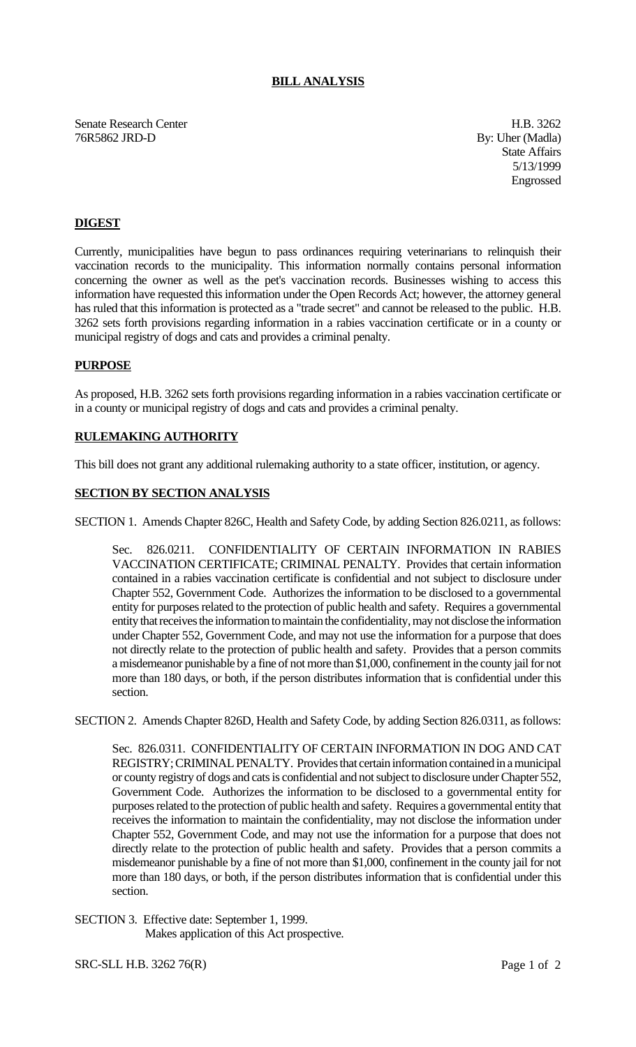### **BILL ANALYSIS**

Senate Research Center **H.B. 3262** 76R5862 JRD-D By: Uher (Madla)

State Affairs 5/13/1999 Engrossed

## **DIGEST**

Currently, municipalities have begun to pass ordinances requiring veterinarians to relinquish their vaccination records to the municipality. This information normally contains personal information concerning the owner as well as the pet's vaccination records. Businesses wishing to access this information have requested this information under the Open Records Act; however, the attorney general has ruled that this information is protected as a "trade secret" and cannot be released to the public. H.B. 3262 sets forth provisions regarding information in a rabies vaccination certificate or in a county or municipal registry of dogs and cats and provides a criminal penalty.

#### **PURPOSE**

As proposed, H.B. 3262 sets forth provisions regarding information in a rabies vaccination certificate or in a county or municipal registry of dogs and cats and provides a criminal penalty.

# **RULEMAKING AUTHORITY**

This bill does not grant any additional rulemaking authority to a state officer, institution, or agency.

#### **SECTION BY SECTION ANALYSIS**

SECTION 1. Amends Chapter 826C, Health and Safety Code, by adding Section 826.0211, as follows:

Sec. 826.0211. CONFIDENTIALITY OF CERTAIN INFORMATION IN RABIES VACCINATION CERTIFICATE; CRIMINAL PENALTY. Provides that certain information contained in a rabies vaccination certificate is confidential and not subject to disclosure under Chapter 552, Government Code. Authorizes the information to be disclosed to a governmental entity for purposes related to the protection of public health and safety. Requires a governmental entity that receives the information to maintain the confidentiality, may not disclose the information under Chapter 552, Government Code, and may not use the information for a purpose that does not directly relate to the protection of public health and safety. Provides that a person commits a misdemeanor punishable by a fine of not more than \$1,000, confinement in the county jail for not more than 180 days, or both, if the person distributes information that is confidential under this section.

SECTION 2. Amends Chapter 826D, Health and Safety Code, by adding Section 826.0311, as follows:

Sec. 826.0311. CONFIDENTIALITY OF CERTAIN INFORMATION IN DOG AND CAT REGISTRY; CRIMINAL PENALTY. Provides that certain information contained in a municipal or county registry of dogs and cats is confidential and not subject to disclosure under Chapter 552, Government Code. Authorizes the information to be disclosed to a governmental entity for purposes related to the protection of public health and safety. Requires a governmental entity that receives the information to maintain the confidentiality, may not disclose the information under Chapter 552, Government Code, and may not use the information for a purpose that does not directly relate to the protection of public health and safety. Provides that a person commits a misdemeanor punishable by a fine of not more than \$1,000, confinement in the county jail for not more than 180 days, or both, if the person distributes information that is confidential under this section.

SECTION 3. Effective date: September 1, 1999. Makes application of this Act prospective.